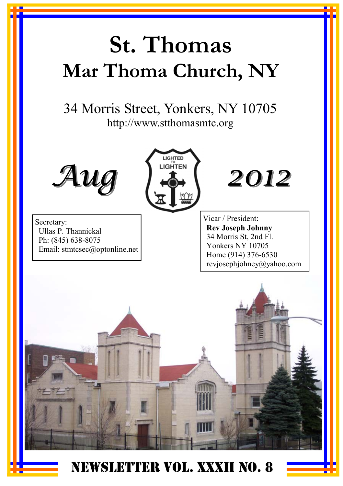# **St. Thomas Mar Thoma Church, NY**

34 Morris Street, Yonkers, NY 10705 http://www.stthomasmtc.org









Vicar / President: **Rev Joseph Johnny**  34 Morris St, 2nd Fl. Yonkers NY 10705 Home (914) 376-6530 revjosephjohney@yahoo.com



NEWSLETTER VOL. XXXII NO. 8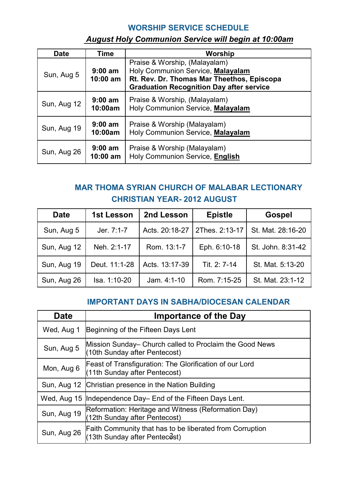#### **WORSHIP SERVICE SCHEDULE**

#### *August Holy Communion Service will begin at 10:00am*

| <b>Date</b> | Time                    | Worship                                                                                                                                                             |
|-------------|-------------------------|---------------------------------------------------------------------------------------------------------------------------------------------------------------------|
| Sun, Aug 5  | $9:00$ am<br>$10:00$ am | Praise & Worship, (Malayalam)<br>Holy Communion Service, Malayalam<br>Rt. Rev. Dr. Thomas Mar Theethos, Episcopa<br><b>Graduation Recognition Day after service</b> |
| Sun, Aug 12 | $9:00$ am<br>10:00am    | Praise & Worship, (Malayalam)<br>Holy Communion Service, Malayalam                                                                                                  |
| Sun, Aug 19 | $9:00$ am<br>10:00am    | Praise & Worship (Malayalam)<br>Holy Communion Service, Malayalam                                                                                                   |
| Sun, Aug 26 | $9:00$ am<br>10:00 am   | Praise & Worship (Malayalam)<br>Holy Communion Service, English                                                                                                     |

### **MAR THOMA SYRIAN CHURCH OF MALABAR LECTIONARY CHRISTIAN YEAR- 2012 AUGUST**

| <b>Date</b> | 1st Lesson    | 2nd Lesson     | <b>Epistle</b> | Gospel            |
|-------------|---------------|----------------|----------------|-------------------|
| Sun, Aug 5  | Jer. 7:1-7    | Acts. 20:18-27 | 2Thes. 2:13-17 | St. Mat. 28:16-20 |
| Sun, Aug 12 | Neh. 2:1-17   | Rom. 13:1-7    | Eph. 6:10-18   | St. John. 8:31-42 |
| Sun, Aug 19 | Deut. 11:1-28 | Acts. 13:17-39 | Tit. 2: 7-14   | St. Mat. 5:13-20  |
| Sun, Aug 26 | Isa. 1:10-20  | Jam. $4:1-10$  | Rom. 7:15-25   | St. Mat. 23:1-12  |

### **IMPORTANT DAYS IN SABHA/DIOCESAN CALENDAR**

| <b>Date</b> | <b>Importance of the Day</b>                                                              |
|-------------|-------------------------------------------------------------------------------------------|
| Wed, Aug 1  | Beginning of the Fifteen Days Lent                                                        |
| Sun, Aug 5  | Mission Sunday– Church called to Proclaim the Good News<br>(10th Sunday after Pentecost)  |
| Mon, Aug 6  | Feast of Transfiguration: The Glorification of our Lord<br>(11th Sunday after Pentecost)  |
|             | Sun, Aug 12 Christian presence in the Nation Building                                     |
|             | Wed, Aug 15 Independence Day– End of the Fifteen Days Lent.                               |
| Sun, Aug 19 | (Reformation: Heritage and Witness (Reformation Day)<br>(12th Sunday after Pentecost)     |
| Sun, Aug 26 | Faith Community that has to be liberated from Corruption<br>(13th Sunday after Pentecest) |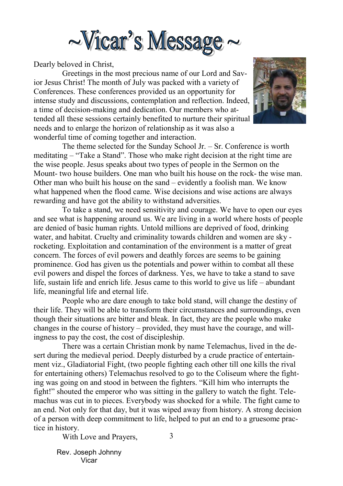

Dearly beloved in Christ,

 Greetings in the most precious name of our Lord and Savior Jesus Christ! The month of July was packed with a variety of Conferences. These conferences provided us an opportunity for intense study and discussions, contemplation and reflection. Indeed, a time of decision-making and dedication. Our members who attended all these sessions certainly benefited to nurture their spiritual needs and to enlarge the horizon of relationship as it was also a wonderful time of coming together and interaction.



 The theme selected for the Sunday School Jr. – Sr. Conference is worth meditating – "Take a Stand". Those who make right decision at the right time are the wise people. Jesus speaks about two types of people in the Sermon on the Mount- two house builders. One man who built his house on the rock- the wise man. Other man who built his house on the sand – evidently a foolish man. We know what happened when the flood came. Wise decisions and wise actions are always rewarding and have got the ability to withstand adversities.

 To take a stand, we need sensitivity and courage. We have to open our eyes and see what is happening around us. We are living in a world where hosts of people are denied of basic human rights. Untold millions are deprived of food, drinking water, and habitat. Cruelty and criminality towards children and women are sky rocketing. Exploitation and contamination of the environment is a matter of great concern. The forces of evil powers and deathly forces are seems to be gaining prominence. God has given us the potentials and power within to combat all these evil powers and dispel the forces of darkness. Yes, we have to take a stand to save life, sustain life and enrich life. Jesus came to this world to give us life – abundant life, meaningful life and eternal life.

 People who are dare enough to take bold stand, will change the destiny of their life. They will be able to transform their circumstances and surroundings, even though their situations are bitter and bleak. In fact, they are the people who make changes in the course of history – provided, they must have the courage, and willingness to pay the cost, the cost of discipleship.

3 There was a certain Christian monk by name Telemachus, lived in the desert during the medieval period. Deeply disturbed by a crude practice of entertainment viz., Gladiatorial Fight, (two people fighting each other till one kills the rival for entertaining others) Telemachus resolved to go to the Coliseum where the fighting was going on and stood in between the fighters. "Kill him who interrupts the fight!" shouted the emperor who was sitting in the gallery to watch the fight. Telemachus was cut in to pieces. Everybody was shocked for a while. The fight came to an end. Not only for that day, but it was wiped away from history. A strong decision of a person with deep commitment to life, helped to put an end to a gruesome practice in history.

With Love and Prayers,

Rev. Joseph Johnny Vicar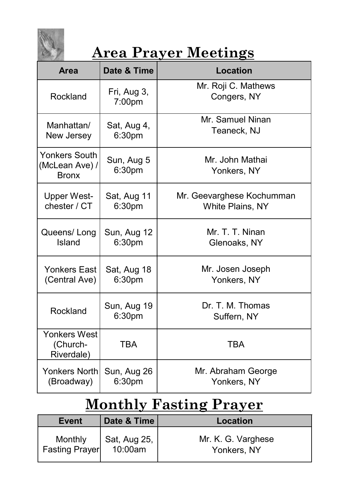

## **Area Prayer Meetings**

| <b>Area</b>                                            | Date & Time           | Location                           |
|--------------------------------------------------------|-----------------------|------------------------------------|
| Rockland                                               | Fri, Aug 3,<br>7:00pm | Mr. Roji C. Mathews<br>Congers, NY |
| Manhattan/                                             | Sat, Aug 4,           | Mr. Samuel Ninan                   |
| New Jersey                                             | 6:30pm                | Teaneck, NJ                        |
| <b>Yonkers South</b><br>(McLean Ave) /<br><b>Bronx</b> | Sun, Aug 5<br>6:30pm  | Mr. John Mathai<br>Yonkers, NY     |
| <b>Upper West-</b>                                     | Sat, Aug 11           | Mr. Geevarghese Kochumman          |
| chester / CT                                           | 6:30pm                | <b>White Plains, NY</b>            |
| Queens/Long                                            | Sun, Aug 12           | Mr. T. T. Ninan                    |
| Island                                                 | 6:30pm                | Glenoaks, NY                       |
| Yonkers East                                           | Sat, Aug 18           | Mr. Josen Joseph                   |
| (Central Ave)                                          | 6:30 <sub>pm</sub>    | Yonkers, NY                        |
| Rockland                                               | Sun, Aug 19<br>6:30pm | Dr. T. M. Thomas<br>Suffern, NY    |
| Yonkers West<br>(Church-<br>Riverdale)                 | <b>TBA</b>            | <b>TBA</b>                         |
| Yonkers North                                          | Sun, Aug 26           | Mr. Abraham George                 |
| (Broadway)                                             | 6:30pm                | Yonkers, NY                        |

## **Monthly Fasting Prayer**

| Event                            | Date & Time             | Location                          |
|----------------------------------|-------------------------|-----------------------------------|
| Monthly<br><b>Fasting Prayer</b> | Sat, Aug 25,<br>10:00am | Mr. K. G. Varghese<br>Yonkers, NY |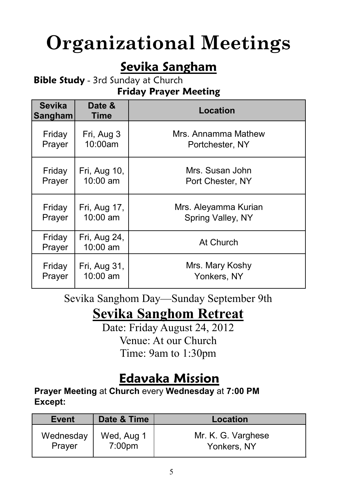# **Organizational Meetings**

## **Sevika Sangham**

**Bible Study** - 3rd Sunday at Church **Friday Prayer Meeting**

| <b>Sevika</b><br>Sangham | Date &<br><b>Time</b>    | Location             |  |
|--------------------------|--------------------------|----------------------|--|
| Friday                   | Fri, Aug 3               | Mrs. Annamma Mathew  |  |
| Prayer                   | 10:00am                  | Portchester, NY      |  |
| Friday                   | Fri, Aug 10,             | Mrs. Susan John      |  |
| Prayer                   | 10:00 am                 | Port Chester, NY     |  |
| Friday                   | Fri, Aug 17,             | Mrs. Aleyamma Kurian |  |
| Prayer                   | 10:00 am                 | Spring Valley, NY    |  |
| Friday<br>Prayer         | Fri, Aug 24,<br>10:00 am | At Church            |  |
| Friday                   | Fri, Aug 31,             | Mrs. Mary Koshy      |  |
| Prayer                   | 10:00 am                 | Yonkers, NY          |  |

Sevika Sanghom Day—Sunday September 9th

## **Sevika Sanghom Retreat**

Date: Friday August 24, 2012 Venue: At our Church Time: 9am to 1:30pm

## **Edavaka Mission**

**Prayer Meeting** at **Church** every **Wednesday** at **7:00 PM Except:** 

| <b>Event</b> | Date & Time        | Location           |
|--------------|--------------------|--------------------|
| Wednesday    | Wed, Aug 1         | Mr. K. G. Varghese |
| Prayer       | 7:00 <sub>pm</sub> | Yonkers, NY        |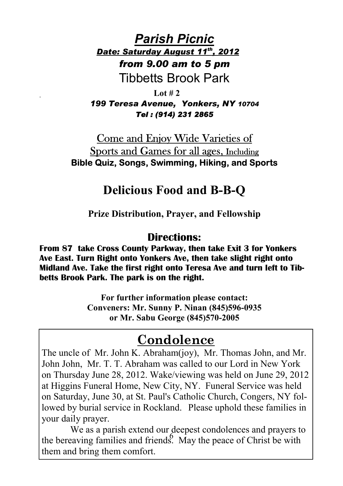*Parish Picnic Date: Saturday August 11th, 2012 from 9.00 am to 5 pm*  Tibbetts Brook Park

 **Lot # 2**  *199 Teresa Avenue, Yonkers, NY 10704 Tel : (914) 231 2865* 

## Come and Enjoy Wide Varieties of Sports and Games for all ages, Including **Bible Quiz, Songs, Swimming, Hiking, and Sports**

## **Delicious Food and B-B-Q**

**Prize Distribution, Prayer, and Fellowship** 

## **Directions:**

**From 87 take Cross County Parkway, then take Exit 3 for Yonkers Ave East. Turn Right onto Yonkers Ave, then take slight right onto Midland Ave. Take the first right onto Teresa Ave and turn left to Tibbetts Brook Park. The park is on the right.** 

> **For further information please contact: Conveners: Mr. Sunny P. Ninan (845)596-0935 or Mr. Sabu George (845)570-2005**

## **Condolence**

The uncle of Mr. John K. Abraham(joy), Mr. Thomas John, and Mr. John John, Mr. T. T. Abraham was called to our Lord in New York on Thursday June 28, 2012. Wake/viewing was held on June 29, 2012 at Higgins Funeral Home, New City, NY. Funeral Service was held on Saturday, June 30, at St. Paul's Catholic Church, Congers, NY followed by burial service in Rockland. Please uphold these families in your daily prayer.

the bereaving families and friends. May the peace of Christ be with We as a parish extend our deepest condolences and prayers to them and bring them comfort.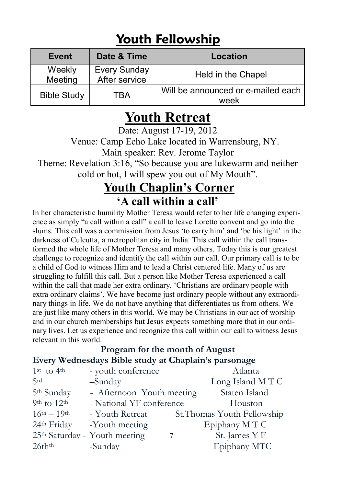## **Youth Fellowship**

| Event              | Date & Time                          | Location                                   |
|--------------------|--------------------------------------|--------------------------------------------|
| Weekly<br>Meeting  | <b>Every Sunday</b><br>After service | Held in the Chapel                         |
| <b>Bible Study</b> | TRA                                  | Will be announced or e-mailed each<br>week |

## **Youth Retreat**

Date: August 17-19, 2012

 Venue: Camp Echo Lake located in Warrensburg, NY. Main speaker: Rev. Jerome Taylor

Theme: Revelation 3:16, "So because you are lukewarm and neither cold or hot, I will spew you out of My Mouth".

## **Youth Chaplin's Corner 'A call within a call'**

In her characteristic humility Mother Teresa would refer to her life changing experience as simply "a call within a call" a call to leave Loretto convent and go into the slums. This call was a commission from Jesus 'to carry him' and 'be his light' in the darkness of Culcutta, a metropolitan city in India. This call within the call transformed the whole life of Mother Teresa and many others. Today this is our greatest challenge to recognize and identify the call within our call. Our primary call is to be a child of God to witness Him and to lead a Christ centered life. Many of us are struggling to fulfill this call. But a person like Mother Teresa experienced a call within the call that made her extra ordinary. 'Christians are ordinary people with extra ordinary claims'. We have become just ordinary people without any extraordinary things in life. We do not have anything that differentiates us from others. We are just like many others in this world. We may be Christians in our act of worship and in our church memberships but Jesus expects something more that in our ordinary lives. Let us experience and recognize this call within our call to witness Jesus relevant in this world.

#### **Program for the month of August Every Wednesdays Bible study at Chaplain's parsonage**

| $1st$ to $4th$                        | - youth conference                        | Atlanta                     |
|---------------------------------------|-------------------------------------------|-----------------------------|
| 5rd                                   | -Sunday                                   | Long Island MTC             |
| 5 <sup>th</sup> Sunday                | - Afternoon Youth meeting                 | Staten Island               |
| 9 <sup>th</sup> to $12$ <sup>th</sup> | - National YF conference-                 | Houston                     |
| $16^{th} - 19^{th}$                   | - Youth Retreat                           | St. Thomas Youth Fellowship |
| 24th Friday                           | -Youth meeting                            | Epiphany MTC                |
|                                       | 25 <sup>th</sup> Saturday - Youth meeting | St. James Y F               |
| 26th <sup>th</sup>                    | -Sunday                                   | Epiphany MTC                |